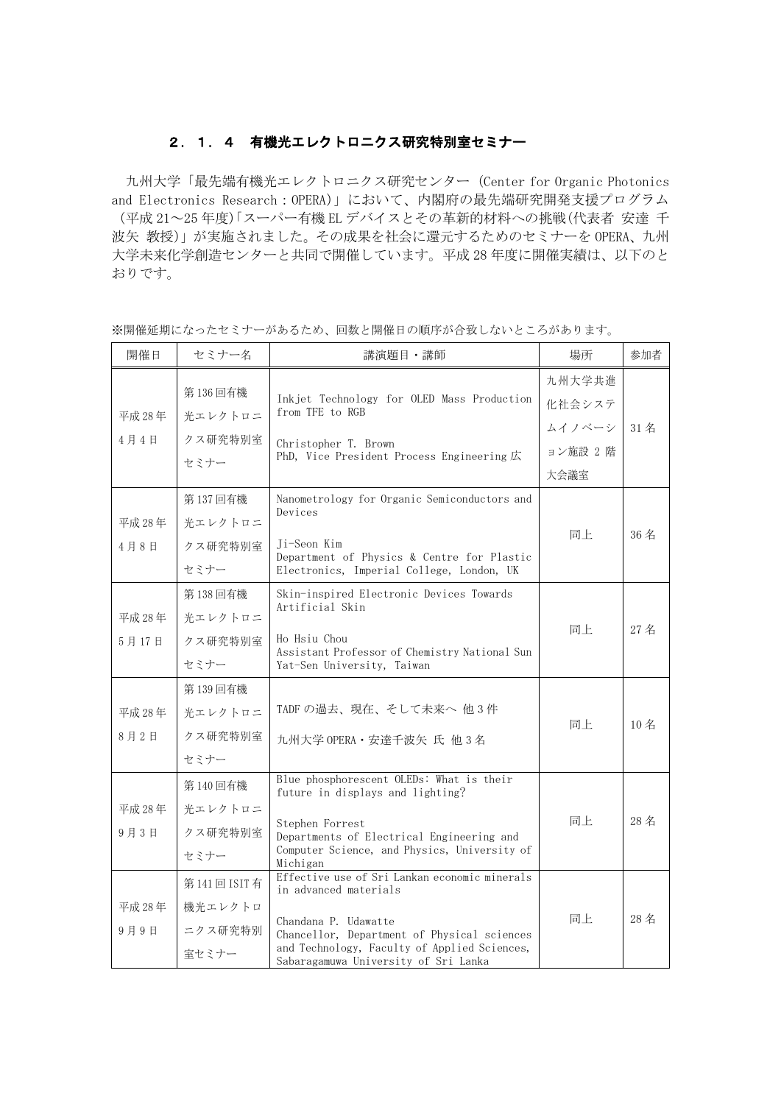## 2.1.4 有機光エレクトロニクス研究特別室セミナー

九州大学「最先端有機光エレクトロニクス研究センター(Center for Organic Photonics and Electronics Research:OPERA)」において、内閣府の最先端研究開発支援プログラム (平成 21~25 年度)「スーパー有機 EL デバイスとその革新的材料への挑戦(代表者 安達 千 波矢 教授)」が実施されました。その成果を社会に還元するためのセミナーを OPERA、九州 大学未来化学創造センターと共同で開催しています。平成 28 年度に開催実績は、以下のと おりです。

| 開催日             | セミナー名                                       | 講演題目・講師                                                                                                                                                                                                                               | 場所                         | 参加者                             |
|-----------------|---------------------------------------------|---------------------------------------------------------------------------------------------------------------------------------------------------------------------------------------------------------------------------------------|----------------------------|---------------------------------|
| 平成 28年          | 第136回有機<br>光エレクトロニ                          | Inkjet Technology for OLED Mass Production<br>from TFE to RGB                                                                                                                                                                         | 九州大学共進<br>化社会システ           |                                 |
| 4月4日            | クス研究特別室<br>セミナー                             | Christopher T. Brown<br>PhD, Vice President Process Engineering 広                                                                                                                                                                     | ムイノベーシ<br>ョン施設 2 階<br>大会議室 | $31 \text{ } \nmid \mathcal{Z}$ |
| 平成 28年<br>4月8日  | 第137回有機<br>光エレクトロニ<br>クス研究特別室<br>セミナー       | Nanometrology for Organic Semiconductors and<br>Devices<br>Ji-Seon Kim<br>Department of Physics & Centre for Plastic<br>Electronics, Imperial College, London, UK                                                                     | 同上                         | 36名                             |
| 平成 28年<br>5月17日 | 第138回有機<br>光エレクトロニ<br>クス研究特別室<br>セミナー       | Skin-inspired Electronic Devices Towards<br>Artificial Skin<br>Ho Hsiu Chou<br>Assistant Professor of Chemistry National Sun<br>Yat-Sen University, Taiwan                                                                            | 同上                         | 27名                             |
| 平成 28年<br>8月2日  | 第139回有機<br>光エレクトロニ<br>クス研究特別室<br>セミナー       | TADF の過去、現在、そして未来へ他3件<br>九州大学 OPERA · 安達千波矢氏他3名                                                                                                                                                                                       | 同上                         | 10名                             |
| 平成 28年<br>9月3日  | 第140回有機<br>光エレクトロニ<br>クス研究特別室<br>セミナー       | Blue phosphorescent OLEDs: What is their<br>future in displays and lighting?<br>Stephen Forrest<br>Departments of Electrical Engineering and<br>Computer Science, and Physics, University of<br>Michigan                              | 同上                         | 28名                             |
| 平成 28年<br>9月9日  | 第141回 ISIT 有<br>機光エレクトロ<br>ニクス研究特別<br>室セミナー | Effective use of Sri Lankan economic minerals<br>in advanced materials<br>Chandana P. Udawatte<br>Chancellor, Department of Physical sciences<br>and Technology, Faculty of Applied Sciences,<br>Sabaragamuwa University of Sri Lanka | 同上                         | 28名                             |

※開催延期になったセミナーがあるため、回数と開催日の順序が合致しないところがあります。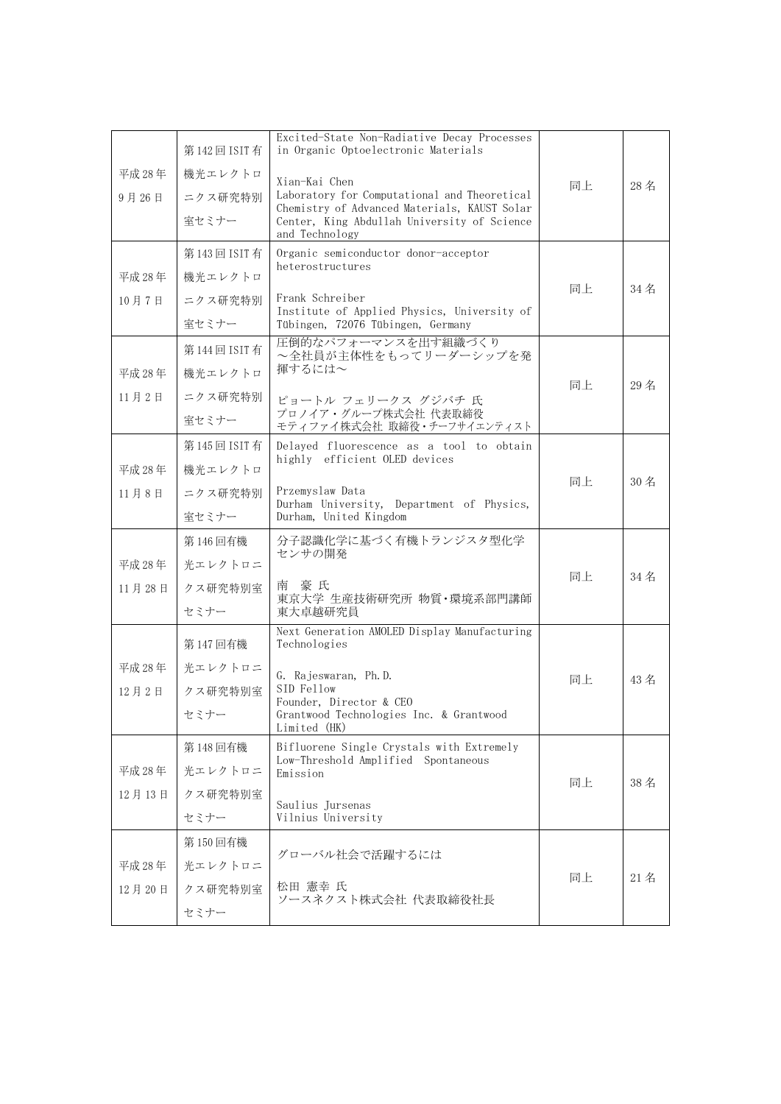|        | 第142回 ISIT 有 | Excited-State Non-Radiative Decay Processes<br>in Organic Optoelectronic Materials                            |    |     |
|--------|--------------|---------------------------------------------------------------------------------------------------------------|----|-----|
| 平成 28年 | 機光エレクトロ      | Xian-Kai Chen                                                                                                 |    |     |
| 9月26日  | ニクス研究特別      | Laboratory for Computational and Theoretical                                                                  | 同上 | 28名 |
|        | 室セミナー        | Chemistry of Advanced Materials, KAUST Solar<br>Center, King Abdullah University of Science<br>and Technology |    |     |
|        | 第143回 ISIT 有 | Organic semiconductor donor-acceptor                                                                          |    |     |
| 平成 28年 | 機光エレクトロ      | heterostructures                                                                                              |    |     |
| 10月7日  | ニクス研究特別      | Frank Schreiber                                                                                               | 同上 | 34名 |
|        | 室セミナー        | Institute of Applied Physics, University of<br>Tübingen, 72076 Tübingen, Germany                              |    |     |
|        | 第144回 ISIT 有 | 圧倒的なパフォーマンスを出す組織づくり<br>~全社員が主体性をもってリーダーシップを発                                                                  |    |     |
| 平成 28年 | 機光エレクトロ      | 揮するには~                                                                                                        |    |     |
| 11月2日  | ニクス研究特別      | ピョートル フェリークス グジバチ 氏                                                                                           | 同上 | 29名 |
|        | 室セミナー        | プロノイア・グループ株式会社 代表取締役<br>モティファイ株式会社 取締役・チーフサイエンティスト                                                            |    |     |
|        | 第145回 ISIT 有 | Delayed fluorescence as a tool to obtain<br>highly efficient OLED devices                                     |    |     |
| 平成 28年 | 機光エレクトロ      |                                                                                                               | 同上 | 30名 |
| 11月8日  | ニクス研究特別      | Przemyslaw Data<br>Durham University, Department of Physics,                                                  |    |     |
|        | 室セミナー        | Durham, United Kingdom                                                                                        |    |     |
|        | 第146回有機      | 分子認識化学に基づく有機トランジスタ型化学<br>センサの開発                                                                               |    |     |
| 平成 28年 | 光エレクトロニ      |                                                                                                               | 同上 | 34名 |
| 11月28日 | クス研究特別室      | 南 豪 氏<br>東京大学 生産技術研究所 物質・環境系部門講師                                                                              |    |     |
|        | セミナー         | 東大卓越研究員                                                                                                       |    |     |
|        | 第147回有機      | Next Generation AMOLED Display Manufacturing<br>Technologies                                                  |    |     |
| 平成 28年 | 光エレクトロニ      | G. Rajeswaran, Ph.D.                                                                                          | 同上 | 43名 |
| 12月2日  | クス研究特別室      | SID Fellow<br>Founder, Director & CEO                                                                         |    |     |
|        | セミナー         | Grantwood Technologies Inc. & Grantwood<br>Limited (HK)                                                       |    |     |
|        | 第148回有機      | Bifluorene Single Crystals with Extremely                                                                     |    |     |
| 平成 28年 | 光エレクトロニ      | Low-Threshold Amplified Spontaneous<br>Emission                                                               |    |     |
| 12月13日 | クス研究特別室      |                                                                                                               | 同上 | 38名 |
|        | セミナー         | Saulius Jursenas<br>Vilnius University                                                                        |    |     |
|        | 第150回有機      | グローバル社会で活躍するには                                                                                                |    |     |
| 平成 28年 | 光エレクトロニ      |                                                                                                               | 同上 | 21名 |
| 12月20日 | クス研究特別室      | 松田 憲幸 氏<br>ソースネクスト株式会社 代表取締役社長                                                                                |    |     |
|        | セミナー         |                                                                                                               |    |     |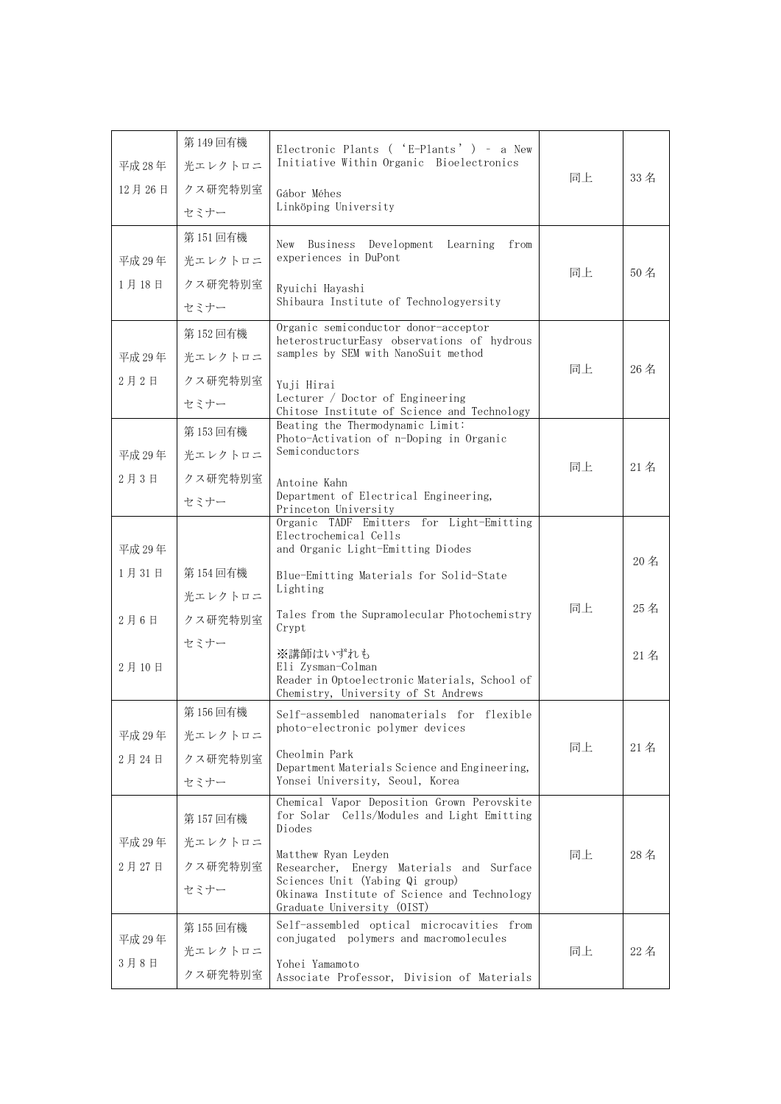| 平成 28年 | 第149回有機<br>光エレクトロニ | Electronic Plants ( 'E-Plants' ) - a New<br>Initiative Within Organic Bioelectronics                         |    |     |
|--------|--------------------|--------------------------------------------------------------------------------------------------------------|----|-----|
| 12月26日 | クス研究特別室            | Gábor Méhes                                                                                                  | 同上 | 33名 |
|        | セミナー               | Linköping University                                                                                         |    |     |
|        | 第151回有機            | Business Development Learning<br>New<br>from                                                                 |    |     |
| 平成 29年 | 光エレクトロニ            | experiences in DuPont                                                                                        | 同上 | 50名 |
| 1月18日  | クス研究特別室            | Ryuichi Hayashi                                                                                              |    |     |
|        | セミナー               | Shibaura Institute of Technologyersity                                                                       |    |     |
|        | 第152回有機            | Organic semiconductor donor-acceptor<br>heterostructurEasy observations of hydrous                           |    |     |
| 平成 29年 | 光エレクトロニ            | samples by SEM with NanoSuit method                                                                          | 同上 | 26名 |
| 2月2日   | クス研究特別室            | Yuji Hirai                                                                                                   |    |     |
|        | セミナー               | Lecturer / Doctor of Engineering<br>Chitose Institute of Science and Technology                              |    |     |
|        | 第153回有機            | Beating the Thermodynamic Limit:<br>Photo-Activation of n-Doping in Organic                                  |    |     |
| 平成 29年 | 光エレクトロニ            | Semiconductors                                                                                               | 同上 | 21名 |
| 2月3日   | クス研究特別室            | Antoine Kahn                                                                                                 |    |     |
|        | セミナー               | Department of Electrical Engineering,<br>Princeton University                                                |    |     |
|        |                    | Organic TADF Emitters for Light-Emitting<br>Electrochemical Cells                                            |    |     |
| 平成 29年 |                    | and Organic Light-Emitting Diodes                                                                            |    | 20名 |
| 1月31日  | 第154回有機            | Blue-Emitting Materials for Solid-State                                                                      |    |     |
|        | 光エレクトロニ            | Lighting                                                                                                     | 同上 | 25名 |
| 2月6日   | クス研究特別室            | Tales from the Supramolecular Photochemistry<br>Crypt                                                        |    |     |
|        | セミナー               | ※講師はいずれも                                                                                                     |    | 21名 |
| 2月10日  |                    | Eli Zvsman-Colman<br>Reader in Optoelectronic Materials, School of                                           |    |     |
|        |                    | Chemistry, University of St Andrews                                                                          |    |     |
|        | 第156回有機            | Self-assembled nanomaterials for flexible<br>photo-electronic polymer devices                                |    |     |
| 平成 29年 | 光エレクトロニ            | Cheolmin Park                                                                                                | 同上 | 21名 |
| 2月24日  | クス研究特別室            | Department Materials Science and Engineering,                                                                |    |     |
|        | セミナー               | Yonsei University, Seoul, Korea<br>Chemical Vapor Deposition Grown Perovskite                                |    |     |
|        | 第157回有機            | for Solar Cells/Modules and Light Emitting<br>Diodes                                                         |    |     |
| 平成 29年 | 光エレクトロニ            | Matthew Ryan Leyden                                                                                          | 同上 | 28名 |
| 2月27日  | クス研究特別室            | Researcher, Energy Materials and Surface                                                                     |    |     |
|        | セミナー               | Sciences Unit (Yabing Qi group)<br>Okinawa Institute of Science and Technology<br>Graduate University (OIST) |    |     |
|        | 第155回有機            | Self-assembled optical microcavities from                                                                    |    |     |
| 平成 29年 | 光エレクトロニ            | conjugated polymers and macromolecules                                                                       | 同上 | 22名 |
| 3月8日   | クス研究特別室            | Yohei Yamamoto<br>Associate Professor, Division of Materials                                                 |    |     |